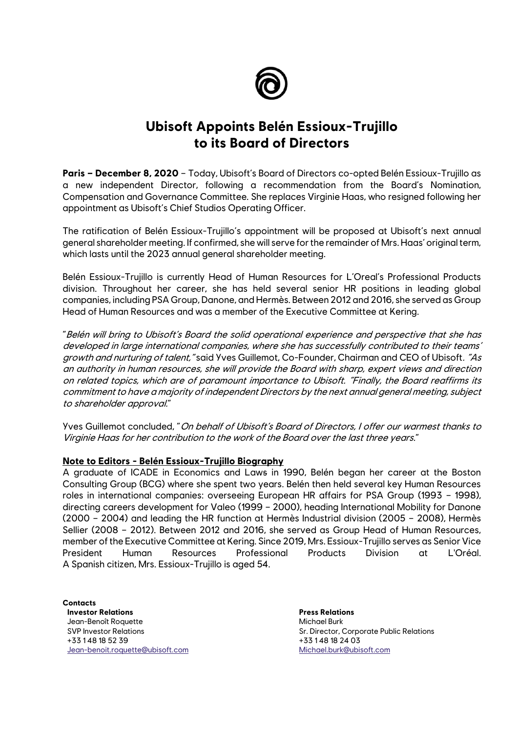

## **Ubisoft Appoints Belén Essioux-Trujillo to its Board of Directors**

**Paris – December 8, 2020** – Today, Ubisoft's Board of Directors co-opted Belén Essioux-Trujillo as a new independent Director, following a recommendation from the Board's Nomination, Compensation and Governance Committee. She replaces Virginie Haas, who resigned following her appointment as Ubisoft's Chief Studios Operating Officer.

The ratification of Belén Essioux-Trujillo's appointment will be proposed at Ubisoft's next annual general shareholder meeting. If confirmed, she will serve for the remainder of Mrs. Haas' original term, which lasts until the 2023 annual general shareholder meeting.

Belén Essioux-Trujillo is currently Head of Human Resources for L'Oreal's Professional Products division. Throughout her career, she has held several senior HR positions in leading global companies, including PSA Group, Danone, and Hermès. Between 2012 and 2016, she served as Group Head of Human Resources and was a member of the Executive Committee at Kering.

"Belén will bring to Ubisoft's Board the solid operational experience and perspective that she has developed in large international companies, where she has successfully contributed to their teams' growth and nurturing of talent, "said Yves Guillemot, Co-Founder, Chairman and CEO of Ubisoft. "As an authority in human resources, she will provide the Board with sharp, expert views and direction on related topics, which are of paramount importance to Ubisoft. "Finally, the Board reaffirms its commitment to have a majority of independent Directors by the next annual general meeting, subject to shareholder approval."

Yves Guillemot concluded, "On behalf of Ubisoft's Board of Directors, I offer our warmest thanks to Virginie Haas for her contribution to the work of the Board over the last three years."

## **Note to Editors - Belén Essioux-Trujillo Biography**

A graduate of ICADE in Economics and Laws in 1990, Belén began her career at the Boston Consulting Group (BCG) where she spent two years. Belén then held several key Human Resources roles in international companies: overseeing European HR affairs for PSA Group (1993 – 1998), directing careers development for Valeo (1999 – 2000), heading International Mobility for Danone (2000 – 2004) and leading the HR function at Hermès Industrial division (2005 – 2008), Hermès Sellier (2008 – 2012). Between 2012 and 2016, she served as Group Head of Human Resources, member of the Executive Committee at Kering. Since 2019, Mrs. Essioux-Trujillo serves as Senior Vice President Human Resources Professional Products Division at L'Oréal. A Spanish citizen, Mrs. Essioux-Trujillo is aged 54.

**Contacts Investor Relations** Jean-Benoît Roquette SVP Investor Relations +33 1 48 18 52 39 [Jean-benoit.roquette@ubisoft.com](mailto:Jean-benoit.roquette@ubisoft.com)

**Press Relations**  Michael Burk Sr. Director, Corporate Public Relations +33 1 48 18 24 03 [Michael.burk@ubisoft.com](mailto:Michael.burk@ubisoft.com)